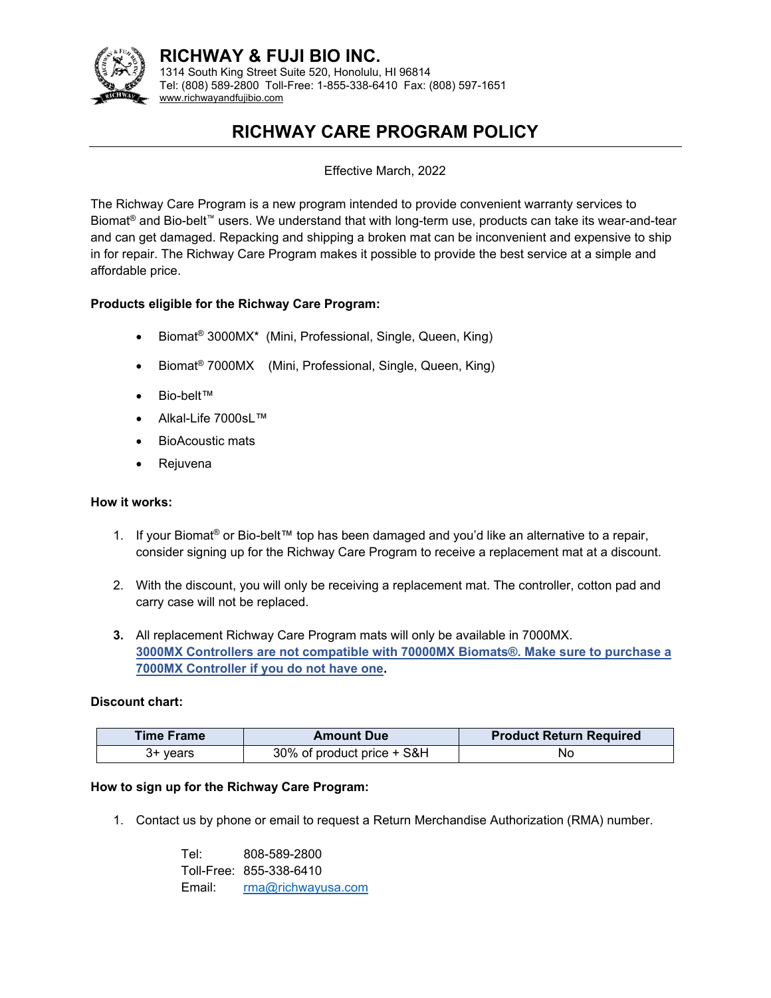

# **RICHWAY & FUJI BIO INC.**

1314 South King Street Suite 520, Honolulu, HI 96814 Tel: (808) 589-2800 Toll-Free: 1-855-338-6410 Fax: (808) 597-1651 www.richwayandfujibio.com

# **RICHWAY CARE PROGRAM POLICY**

Effective March, 2022

The Richway Care Program is a new program intended to provide convenient warranty services to Biomat® and Bio-belt™ users. We understand that with long-term use, products can take its wear-and-tear and can get damaged. Repacking and shipping a broken mat can be inconvenient and expensive to ship in for repair. The Richway Care Program makes it possible to provide the best service at a simple and affordable price.

# **Products eligible for the Richway Care Program:**

- Biomat<sup>®</sup> 3000MX<sup>\*</sup> (Mini, Professional, Single, Queen, King)
- Biomat<sup>®</sup> 7000MX (Mini, Professional, Single, Queen, King)
- Bio-belt™
- Alkal-Life 7000sL™
- BioAcoustic mats
- Rejuvena

#### **How it works:**

- 1. If your Biomat® or Bio-belt™ top has been damaged and you'd like an alternative to a repair, consider signing up for the Richway Care Program to receive a replacement mat at a discount.
- 2. With the discount, you will only be receiving a replacement mat. The controller, cotton pad and carry case will not be replaced.
- **3.** All replacement Richway Care Program mats will only be available in 7000MX. **3000MX Controllers are not compatible with 70000MX Biomats®. Make sure to purchase a 7000MX Controller if you do not have one.**

# **Discount chart:**

| <b>Time Frame</b> | <b>Amount Due</b>          | <b>Product Return Required</b> |
|-------------------|----------------------------|--------------------------------|
| 3+ years          | 30% of product price + S&H | Νo                             |

# **How to sign up for the Richway Care Program:**

1. Contact us by phone or email to request a Return Merchandise Authorization (RMA) number.

Tel: 808-589-2800 Toll-Free: 855-338-6410 Email: rma@richwayusa.com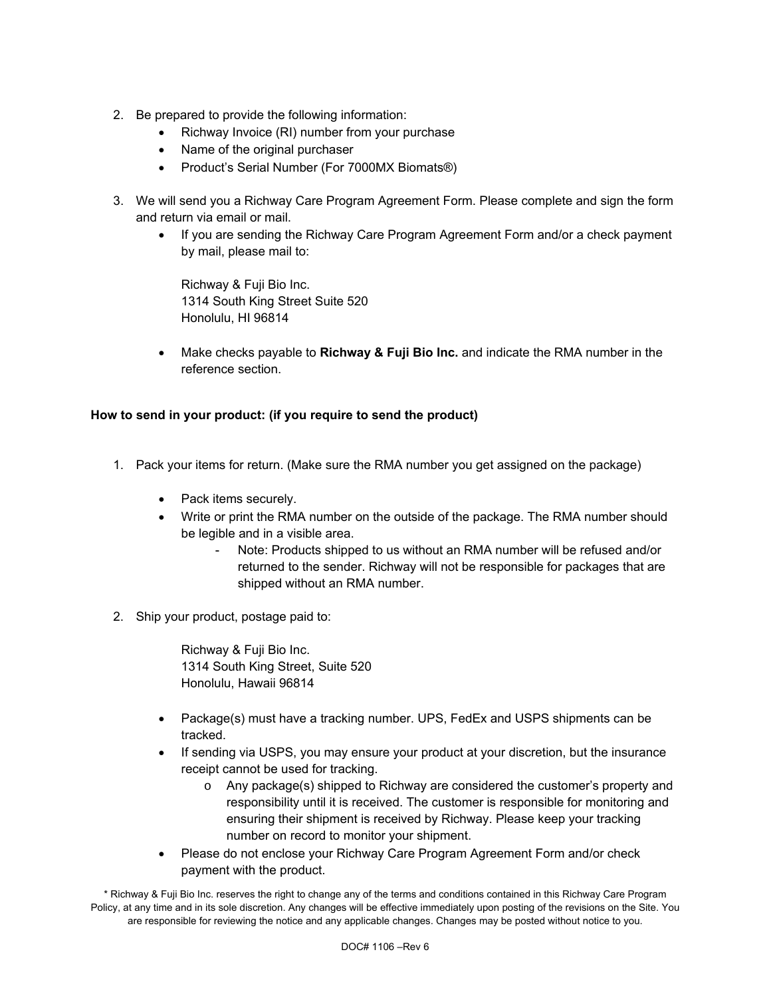- 2. Be prepared to provide the following information:
	- Richway Invoice (RI) number from your purchase
	- Name of the original purchaser
	- Product's Serial Number (For 7000MX Biomats<sup>®)</sup>
- 3. We will send you a Richway Care Program Agreement Form. Please complete and sign the form and return via email or mail.
	- If you are sending the Richway Care Program Agreement Form and/or a check payment by mail, please mail to:

Richway & Fuji Bio Inc. 1314 South King Street Suite 520 Honolulu, HI 96814

 Make checks payable to **Richway & Fuji Bio Inc.** and indicate the RMA number in the reference section.

# **How to send in your product: (if you require to send the product)**

- 1. Pack your items for return. (Make sure the RMA number you get assigned on the package)
	- Pack items securely.
	- Write or print the RMA number on the outside of the package. The RMA number should be legible and in a visible area.
		- Note: Products shipped to us without an RMA number will be refused and/or returned to the sender. Richway will not be responsible for packages that are shipped without an RMA number.
- 2. Ship your product, postage paid to:

Richway & Fuji Bio Inc. 1314 South King Street, Suite 520 Honolulu, Hawaii 96814

- Package(s) must have a tracking number. UPS, FedEx and USPS shipments can be tracked.
- If sending via USPS, you may ensure your product at your discretion, but the insurance receipt cannot be used for tracking.
	- o Any package(s) shipped to Richway are considered the customer's property and responsibility until it is received. The customer is responsible for monitoring and ensuring their shipment is received by Richway. Please keep your tracking number on record to monitor your shipment.
- Please do not enclose your Richway Care Program Agreement Form and/or check payment with the product.

\* Richway & Fuji Bio Inc. reserves the right to change any of the terms and conditions contained in this Richway Care Program Policy, at any time and in its sole discretion. Any changes will be effective immediately upon posting of the revisions on the Site. You are responsible for reviewing the notice and any applicable changes. Changes may be posted without notice to you.